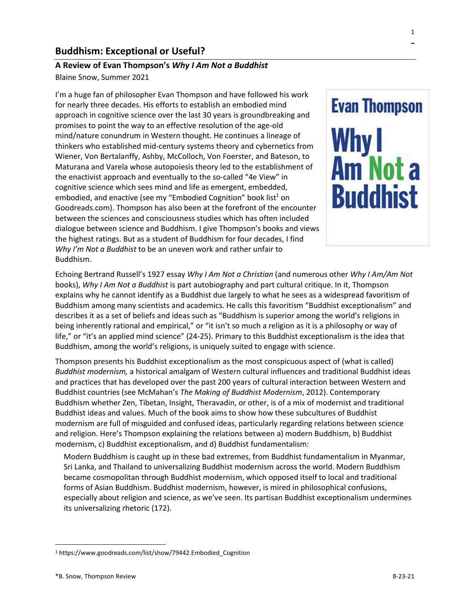# **Buddhism: Exceptional or Useful?**

# **A Review of Evan Thompson's** *Why I Am Not a Buddhist*

Blaine Snow, Summer 2021

I'm a huge fan of philosopher Evan Thompson and have followed his work for nearly three decades. His efforts to establish an embodied mind approach in cognitive science over the last 30 years is groundbreaking and promises to point the way to an effective resolution of the age-old mind/nature conundrum in Western thought. He continues a lineage of thinkers who established mid-century systems theory and cybernetics from Wiener, Von Bertalanffy, Ashby, McColloch, Von Foerster, and Bateson, to Maturana and Varela whose autopoiesis theory led to the establishment of the enactivist approach and eventually to the so-called "4e View" in cognitive science which sees mind and life as emergent, embedded, embodied, and enactive (see my "Embodied Cognition" book list<sup>1</sup> on Goodreads.com). Thompson has also been at the forefront of the encounter between the sciences and consciousness studies which has often included dialogue between science and Buddhism. I give Thompson's books and views the highest ratings. But as a student of Buddhism for four decades, I find *Why I'm Not a Buddhist* to be an uneven work and rather unfair to Buddhism.



Echoing Bertrand Russell's 1927 essay *Why I Am Not a Christian* (and numerous other *Why I Am/Am Not* books), *Why I Am Not a Buddhist* is part autobiography and part cultural critique. In it, Thompson explains why he cannot identify as a Buddhist due largely to what he sees as a widespread favoritism of Buddhism among many scientists and academics. He calls this favoritism "Buddhist exceptionalism" and describes it as a set of beliefs and ideas such as "Buddhism is superior among the world's religions in being inherently rational and empirical," or "it isn't so much a religion as it is a philosophy or way of life," or "it's an applied mind science" (24-25). Primary to this Buddhist exceptionalism is the idea that Buddhism, among the world's religions, is uniquely suited to engage with science.

Thompson presents his Buddhist exceptionalism as the most conspicuous aspect of (what is called) *Buddhist modernism,* a historical amalgam of Western cultural influences and traditional Buddhist ideas and practices that has developed over the past 200 years of cultural interaction between Western and Buddhist countries (see McMahan's *The Making of Buddhist Modernism*, 2012). Contemporary Buddhism whether Zen, Tibetan, Insight, Theravadin, or other, is of a mix of modernist and traditional Buddhist ideas and values. Much of the book aims to show how these subcultures of Buddhist modernism are full of misguided and confused ideas, particularly regarding relations between science and religion. Here's Thompson explaining the relations between a) modern Buddhism, b) Buddhist modernism, c) Buddhist exceptionalism, and d) Buddhist fundamentalism:

Modern Buddhism is caught up in these bad extremes, from Buddhist fundamentalism in Myanmar, Sri Lanka, and Thailand to universalizing Buddhist modernism across the world. Modern Buddhism became cosmopolitan through Buddhist modernism, which opposed itself to local and traditional forms of Asian Buddhism. Buddhist modernism, however, is mired in philosophical confusions, especially about religion and science, as we've seen. Its partisan Buddhist exceptionalism undermines its universalizing rhetoric (172).

<sup>1</sup> https://www.goodreads.com/list/show/79442.Embodied\_Cognition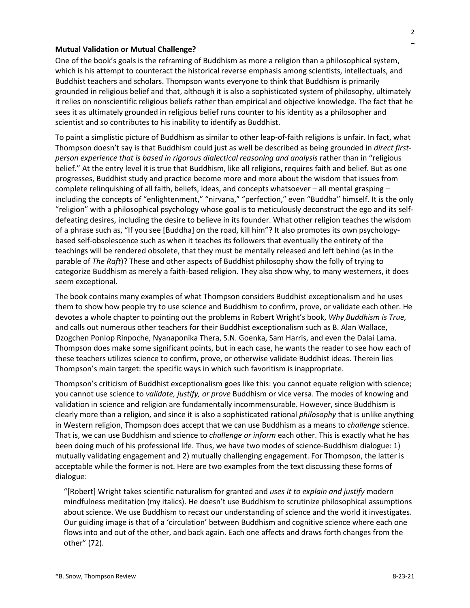# **Mutual Validation or Mutual Challenge?**

One of the book's goals is the reframing of Buddhism as more a religion than a philosophical system, which is his attempt to counteract the historical reverse emphasis among scientists, intellectuals, and Buddhist teachers and scholars. Thompson wants everyone to think that Buddhism is primarily grounded in religious belief and that, although it is also a sophisticated system of philosophy, ultimately it relies on nonscientific religious beliefs rather than empirical and objective knowledge. The fact that he sees it as ultimately grounded in religious belief runs counter to his identity as a philosopher and scientist and so contributes to his inability to identify as Buddhist.

To paint a simplistic picture of Buddhism as similar to other leap-of-faith religions is unfair. In fact, what Thompson doesn't say is that Buddhism could just as well be described as being grounded in *direct firstperson experience that is based in rigorous dialectical reasoning and analysis* rather than in "religious belief." At the entry level it is true that Buddhism, like all religions, requires faith and belief. But as one progresses, Buddhist study and practice become more and more about the wisdom that issues from complete relinquishing of all faith, beliefs, ideas, and concepts whatsoever – all mental grasping – including the concepts of "enlightenment," "nirvana," "perfection," even "Buddha" himself. It is the only "religion" with a philosophical psychology whose goal is to meticulously deconstruct the ego and its selfdefeating desires, including the desire to believe in its founder. What other religion teaches the wisdom of a phrase such as, "If you see [Buddha] on the road, kill him"? It also promotes its own psychologybased self-obsolescence such as when it teaches its followers that eventually the entirety of the teachings will be rendered obsolete, that they must be mentally released and left behind (as in the parable of *The Raft*)? These and other aspects of Buddhist philosophy show the folly of trying to categorize Buddhism as merely a faith-based religion. They also show why, to many westerners, it does seem exceptional.

The book contains many examples of what Thompson considers Buddhist exceptionalism and he uses them to show how people try to use science and Buddhism to confirm, prove, or validate each other. He devotes a whole chapter to pointing out the problems in Robert Wright's book, *Why Buddhism is True,* and calls out numerous other teachers for their Buddhist exceptionalism such as B. Alan Wallace, Dzogchen Ponlop Rinpoche, Nyanaponika Thera, S.N. Goenka, Sam Harris, and even the Dalai Lama. Thompson does make some significant points, but in each case, he wants the reader to see how each of these teachers utilizes science to confirm, prove, or otherwise validate Buddhist ideas. Therein lies Thompson's main target: the specific ways in which such favoritism is inappropriate.

Thompson's criticism of Buddhist exceptionalism goes like this: you cannot equate religion with science; you cannot use science to *validate, justify, or prove* Buddhism or vice versa. The modes of knowing and validation in science and religion are fundamentally incommensurable. However, since Buddhism is clearly more than a religion, and since it is also a sophisticated rational *philosophy* that is unlike anything in Western religion, Thompson does accept that we can use Buddhism as a means to *challenge* science. That is, we can use Buddhism and science to *challenge or inform* each other. This is exactly what he has been doing much of his professional life. Thus, we have two modes of science-Buddhism dialogue: 1) mutually validating engagement and 2) mutually challenging engagement. For Thompson, the latter is acceptable while the former is not. Here are two examples from the text discussing these forms of dialogue:

"[Robert] Wright takes scientific naturalism for granted and *uses it to explain and justify* modern mindfulness meditation (my italics). He doesn't use Buddhism to scrutinize philosophical assumptions about science. We use Buddhism to recast our understanding of science and the world it investigates. Our guiding image is that of a 'circulation' between Buddhism and cognitive science where each one flows into and out of the other, and back again. Each one affects and draws forth changes from the other" (72).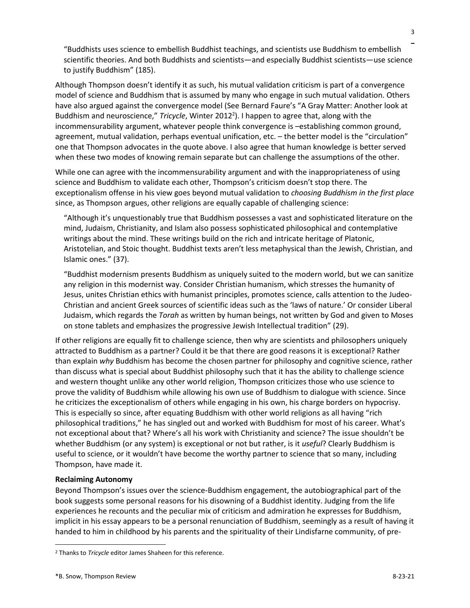"Buddhists uses science to embellish Buddhist teachings, and scientists use Buddhism to embellish scientific theories. And both Buddhists and scientists—and especially Buddhist scientists—use science to justify Buddhism" (185).

Although Thompson doesn't identify it as such, his mutual validation criticism is part of a convergence model of science and Buddhism that is assumed by many who engage in such mutual validation. Others have also argued against the convergence model (See Bernard Faure's "A Gray Matter: Another look at Buddhism and neuroscience," Tricycle, Winter 2012<sup>2</sup>). I happen to agree that, along with the incommensurability argument, whatever people think convergence is –establishing common ground, agreement, mutual validation, perhaps eventual unification, etc. – the better model is the "circulation" one that Thompson advocates in the quote above. I also agree that human knowledge is better served when these two modes of knowing remain separate but can challenge the assumptions of the other.

While one can agree with the incommensurability argument and with the inappropriateness of using science and Buddhism to validate each other, Thompson's criticism doesn't stop there. The exceptionalism offense in his view goes beyond mutual validation to *choosing Buddhism in the first place* since, as Thompson argues, other religions are equally capable of challenging science:

"Although it's unquestionably true that Buddhism possesses a vast and sophisticated literature on the mind, Judaism, Christianity, and Islam also possess sophisticated philosophical and contemplative writings about the mind. These writings build on the rich and intricate heritage of Platonic, Aristotelian, and Stoic thought. Buddhist texts aren't less metaphysical than the Jewish, Christian, and Islamic ones." (37).

"Buddhist modernism presents Buddhism as uniquely suited to the modern world, but we can sanitize any religion in this modernist way. Consider Christian humanism, which stresses the humanity of Jesus, unites Christian ethics with humanist principles, promotes science, calls attention to the Judeo-Christian and ancient Greek sources of scientific ideas such as the 'laws of nature.' Or consider Liberal Judaism, which regards the *Torah* as written by human beings, not written by God and given to Moses on stone tablets and emphasizes the progressive Jewish Intellectual tradition" (29).

If other religions are equally fit to challenge science, then why are scientists and philosophers uniquely attracted to Buddhism as a partner? Could it be that there are good reasons it is exceptional? Rather than explain *why* Buddhism has become the chosen partner for philosophy and cognitive science, rather than discuss what is special about Buddhist philosophy such that it has the ability to challenge science and western thought unlike any other world religion, Thompson criticizes those who use science to prove the validity of Buddhism while allowing his own use of Buddhism to dialogue with science. Since he criticizes the exceptionalism of others while engaging in his own, his charge borders on hypocrisy. This is especially so since, after equating Buddhism with other world religions as all having "rich philosophical traditions," he has singled out and worked with Buddhism for most of his career. What's not exceptional about that? Where's all his work with Christianity and science? The issue shouldn't be whether Buddhism (or any system) is exceptional or not but rather, is it *useful*? Clearly Buddhism is useful to science, or it wouldn't have become the worthy partner to science that so many, including Thompson, have made it.

# **Reclaiming Autonomy**

Beyond Thompson's issues over the science-Buddhism engagement, the autobiographical part of the book suggests some personal reasons for his disowning of a Buddhist identity. Judging from the life experiences he recounts and the peculiar mix of criticism and admiration he expresses for Buddhism, implicit in his essay appears to be a personal renunciation of Buddhism, seemingly as a result of having it handed to him in childhood by his parents and the spirituality of their Lindisfarne community, of pre-

<sup>2</sup> Thanks to *Tricycle* editor James Shaheen for this reference.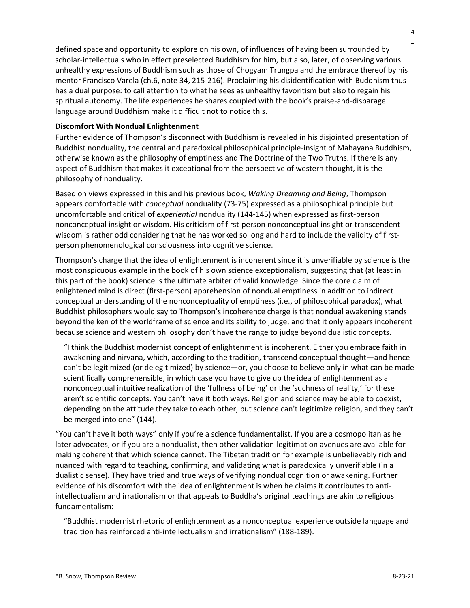defined space and opportunity to explore on his own, of influences of having been surrounded by scholar-intellectuals who in effect preselected Buddhism for him, but also, later, of observing various unhealthy expressions of Buddhism such as those of Chogyam Trungpa and the embrace thereof by his mentor Francisco Varela (ch.6, note 34, 215-216). Proclaiming his disidentification with Buddhism thus has a dual purpose: to call attention to what he sees as unhealthy favoritism but also to regain his spiritual autonomy. The life experiences he shares coupled with the book's praise-and-disparage language around Buddhism make it difficult not to notice this.

### **Discomfort With Nondual Enlightenment**

Further evidence of Thompson's disconnect with Buddhism is revealed in his disjointed presentation of Buddhist nonduality, the central and paradoxical philosophical principle-insight of Mahayana Buddhism, otherwise known as the philosophy of emptiness and The Doctrine of the Two Truths. If there is any aspect of Buddhism that makes it exceptional from the perspective of western thought, it is the philosophy of nonduality.

Based on views expressed in this and his previous book, *Waking Dreaming and Being*, Thompson appears comfortable with *conceptual* nonduality (73-75) expressed as a philosophical principle but uncomfortable and critical of *experiential* nonduality (144-145) when expressed as first-person nonconceptual insight or wisdom. His criticism of first-person nonconceptual insight or transcendent wisdom is rather odd considering that he has worked so long and hard to include the validity of firstperson phenomenological consciousness into cognitive science.

Thompson's charge that the idea of enlightenment is incoherent since it is unverifiable by science is the most conspicuous example in the book of his own science exceptionalism, suggesting that (at least in this part of the book) science is the ultimate arbiter of valid knowledge. Since the core claim of enlightened mind is direct (first-person) apprehension of nondual emptiness in addition to indirect conceptual understanding of the nonconceptuality of emptiness (i.e., of philosophical paradox), what Buddhist philosophers would say to Thompson's incoherence charge is that nondual awakening stands beyond the ken of the worldframe of science and its ability to judge, and that it only appears incoherent because science and western philosophy don't have the range to judge beyond dualistic concepts.

"I think the Buddhist modernist concept of enlightenment is incoherent. Either you embrace faith in awakening and nirvana, which, according to the tradition, transcend conceptual thought—and hence can't be legitimized (or delegitimized) by science—or, you choose to believe only in what can be made scientifically comprehensible, in which case you have to give up the idea of enlightenment as a nonconceptual intuitive realization of the 'fullness of being' or the 'suchness of reality,' for these aren't scientific concepts. You can't have it both ways. Religion and science may be able to coexist, depending on the attitude they take to each other, but science can't legitimize religion, and they can't be merged into one" (144).

"You can't have it both ways" only if you're a science fundamentalist. If you are a cosmopolitan as he later advocates, or if you are a nondualist, then other validation-legitimation avenues are available for making coherent that which science cannot. The Tibetan tradition for example is unbelievably rich and nuanced with regard to teaching, confirming, and validating what is paradoxically unverifiable (in a dualistic sense). They have tried and true ways of verifying nondual cognition or awakening. Further evidence of his discomfort with the idea of enlightenment is when he claims it contributes to antiintellectualism and irrationalism or that appeals to Buddha's original teachings are akin to religious fundamentalism:

"Buddhist modernist rhetoric of enlightenment as a nonconceptual experience outside language and tradition has reinforced anti-intellectualism and irrationalism" (188-189).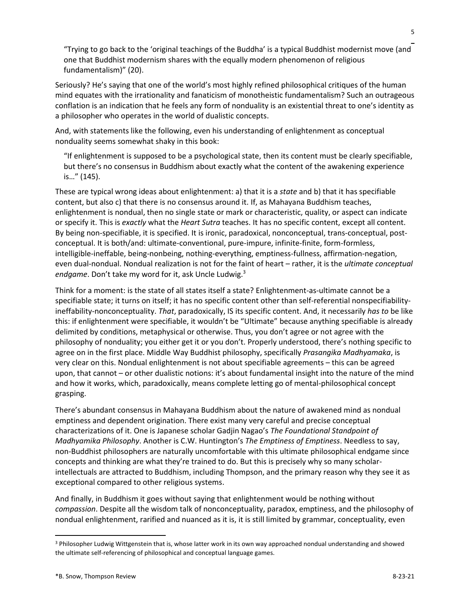"Trying to go back to the 'original teachings of the Buddha' is a typical Buddhist modernist move (and one that Buddhist modernism shares with the equally modern phenomenon of religious fundamentalism)" (20).

Seriously? He's saying that one of the world's most highly refined philosophical critiques of the human mind equates with the irrationality and fanaticism of monotheistic fundamentalism? Such an outrageous conflation is an indication that he feels any form of nonduality is an existential threat to one's identity as a philosopher who operates in the world of dualistic concepts.

And, with statements like the following, even his understanding of enlightenment as conceptual nonduality seems somewhat shaky in this book:

"If enlightenment is supposed to be a psychological state, then its content must be clearly specifiable, but there's no consensus in Buddhism about exactly what the content of the awakening experience is…" (145).

These are typical wrong ideas about enlightenment: a) that it is a *state* and b) that it has specifiable content, but also c) that there is no consensus around it. If, as Mahayana Buddhism teaches, enlightenment is nondual, then no single state or mark or characteristic, quality, or aspect can indicate or specify it. This is *exactly* what the *Heart Sutra* teaches. It has no specific content, except all content. By being non-specifiable, it is specified. It is ironic, paradoxical, nonconceptual, trans-conceptual, postconceptual. It is both/and: ultimate-conventional, pure-impure, infinite-finite, form-formless, intelligible-ineffable, being-nonbeing, nothing-everything, emptiness-fullness, affirmation-negation, even dual-nondual. Nondual realization is not for the faint of heart – rather, it is the *ultimate conceptual endgame*. Don't take my word for it, ask Uncle Ludwig. 3

Think for a moment: is the state of all states itself a state? Enlightenment-as-ultimate cannot be a specifiable state; it turns on itself; it has no specific content other than self-referential nonspecifiabilityineffability-nonconceptuality. *That*, paradoxically, IS its specific content. And, it necessarily *has to* be like this: if enlightenment were specifiable, it wouldn't be "Ultimate" because anything specifiable is already delimited by conditions, metaphysical or otherwise. Thus, you don't agree or not agree with the philosophy of nonduality; you either get it or you don't. Properly understood, there's nothing specific to agree on in the first place. Middle Way Buddhist philosophy, specifically *Prasangika Madhyamaka*, is very clear on this. Nondual enlightenment is not about specifiable agreements – this can be agreed upon, that cannot – or other dualistic notions: it's about fundamental insight into the nature of the mind and how it works, which, paradoxically, means complete letting go of mental-philosophical concept grasping.

There's abundant consensus in Mahayana Buddhism about the nature of awakened mind as nondual emptiness and dependent origination. There exist many very careful and precise conceptual characterizations of it. One is Japanese scholar Gadjin Nagao's *The Foundational Standpoint of Madhyamika Philosophy*. Another is C.W. Huntington's *The Emptiness of Emptiness*. Needless to say, non-Buddhist philosophers are naturally uncomfortable with this ultimate philosophical endgame since concepts and thinking are what they're trained to do. But this is precisely why so many scholarintellectuals are attracted to Buddhism, including Thompson, and the primary reason why they see it as exceptional compared to other religious systems.

And finally, in Buddhism it goes without saying that enlightenment would be nothing without *compassion*. Despite all the wisdom talk of nonconceptuality, paradox, emptiness, and the philosophy of nondual enlightenment, rarified and nuanced as it is, it is still limited by grammar, conceptuality, even

<sup>3</sup> Philosopher Ludwig Wittgenstein that is, whose latter work in its own way approached nondual understanding and showed the ultimate self-referencing of philosophical and conceptual language games.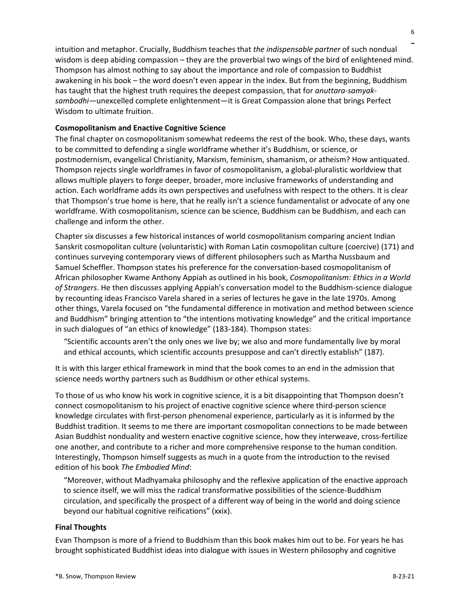intuition and metaphor. Crucially, Buddhism teaches that *the indispensable partner* of such nondual wisdom is deep abiding compassion – they are the proverbial two wings of the bird of enlightened mind. Thompson has almost nothing to say about the importance and role of compassion to Buddhist awakening in his book – the word doesn't even appear in the index. But from the beginning, Buddhism has taught that the highest truth requires the deepest compassion, that for *anuttara-samyaksambodhi*—unexcelled complete enlightenment—it is Great Compassion alone that brings Perfect Wisdom to ultimate fruition.

#### **Cosmopolitanism and Enactive Cognitive Science**

The final chapter on cosmopolitanism somewhat redeems the rest of the book. Who, these days, wants to be committed to defending a single worldframe whether it's Buddhism, or science, or postmodernism, evangelical Christianity, Marxism, feminism, shamanism, or atheism? How antiquated. Thompson rejects single worldframes in favor of cosmopolitanism, a global-pluralistic worldview that allows multiple players to forge deeper, broader, more inclusive frameworks of understanding and action. Each worldframe adds its own perspectives and usefulness with respect to the others. It is clear that Thompson's true home is here, that he really isn't a science fundamentalist or advocate of any one worldframe. With cosmopolitanism, science can be science, Buddhism can be Buddhism, and each can challenge and inform the other.

Chapter six discusses a few historical instances of world cosmopolitanism comparing ancient Indian Sanskrit cosmopolitan culture (voluntaristic) with Roman Latin cosmopolitan culture (coercive) (171) and continues surveying contemporary views of different philosophers such as Martha Nussbaum and Samuel Scheffler. Thompson states his preference for the conversation-based cosmopolitanism of African philosopher Kwame Anthony Appiah as outlined in his book, *Cosmopolitanism: Ethics in a World of Strangers*. He then discusses applying Appiah's conversation model to the Buddhism-science dialogue by recounting ideas Francisco Varela shared in a series of lectures he gave in the late 1970s. Among other things, Varela focused on "the fundamental difference in motivation and method between science and Buddhism" bringing attention to "the intentions motivating knowledge" and the critical importance in such dialogues of "an ethics of knowledge" (183-184). Thompson states:

"Scientific accounts aren't the only ones we live by; we also and more fundamentally live by moral and ethical accounts, which scientific accounts presuppose and can't directly establish" (187).

It is with this larger ethical framework in mind that the book comes to an end in the admission that science needs worthy partners such as Buddhism or other ethical systems.

To those of us who know his work in cognitive science, it is a bit disappointing that Thompson doesn't connect cosmopolitanism to his project of enactive cognitive science where third-person science knowledge circulates with first-person phenomenal experience, particularly as it is informed by the Buddhist tradition. It seems to me there are important cosmopolitan connections to be made between Asian Buddhist nonduality and western enactive cognitive science, how they interweave, cross-fertilize one another, and contribute to a richer and more comprehensive response to the human condition. Interestingly, Thompson himself suggests as much in a quote from the introduction to the revised edition of his book *The Embodied Mind*:

"Moreover, without Madhyamaka philosophy and the reflexive application of the enactive approach to science itself, we will miss the radical transformative possibilities of the science-Buddhism circulation, and specifically the prospect of a different way of being in the world and doing science beyond our habitual cognitive reifications" (xxix).

#### **Final Thoughts**

Evan Thompson is more of a friend to Buddhism than this book makes him out to be. For years he has brought sophisticated Buddhist ideas into dialogue with issues in Western philosophy and cognitive